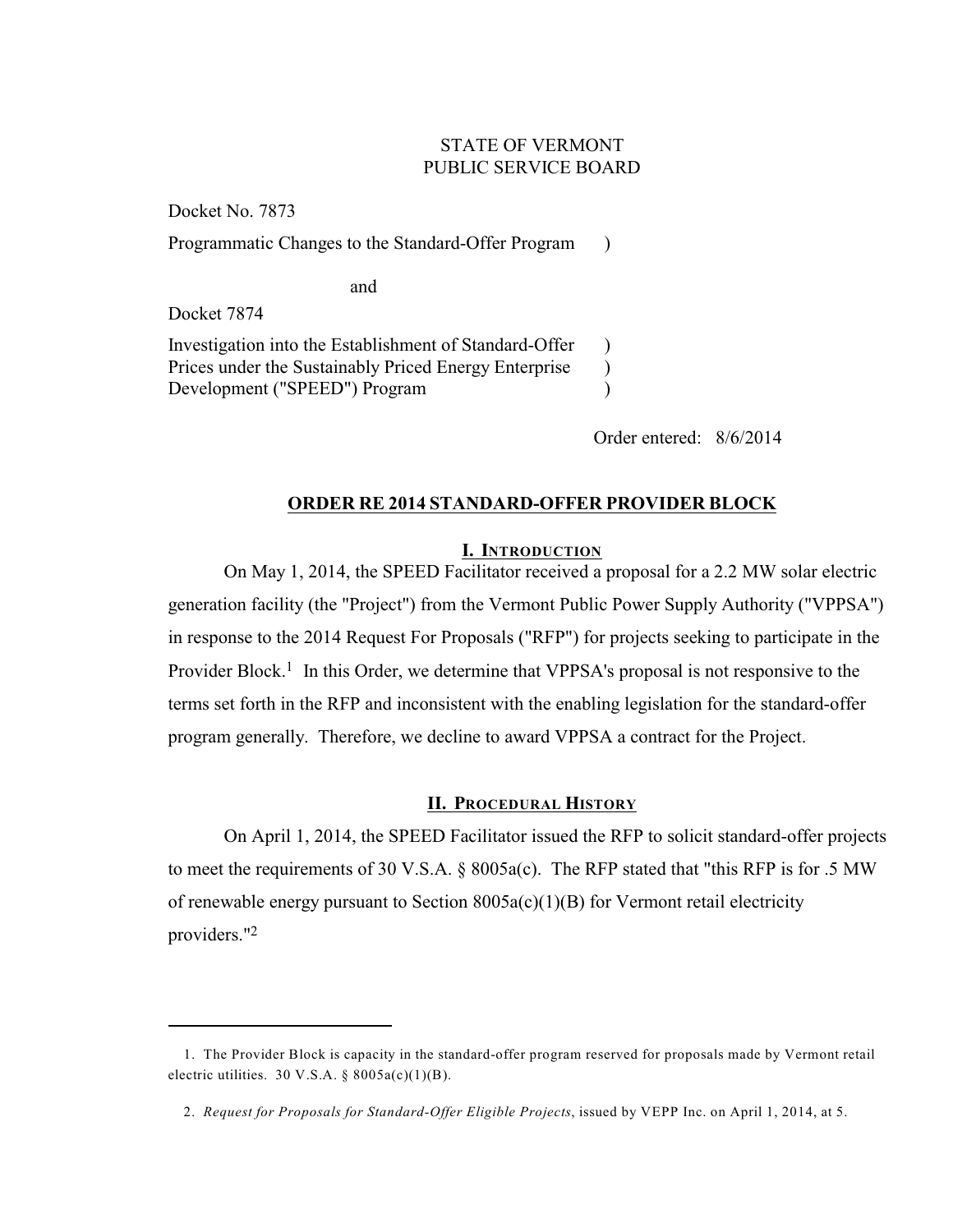# STATE OF VERMONT PUBLIC SERVICE BOARD

 $\lambda$ 

) ) )

Docket No. 7873 Programmatic Changes to the Standard-Offer Program

and

Docket 7874

Investigation into the Establishment of Standard-Offer Prices under the Sustainably Priced Energy Enterprise Development ("SPEED") Program

Order entered: 8/6/2014

# **ORDER RE 2014 STANDARD-OFFER PROVIDER BLOCK**

## **I. INTRODUCTION**

On May 1, 2014, the SPEED Facilitator received a proposal for a 2.2 MW solar electric generation facility (the "Project") from the Vermont Public Power Supply Authority ("VPPSA") in response to the 2014 Request For Proposals ("RFP") for projects seeking to participate in the Provider Block.<sup>1</sup> In this Order, we determine that VPPSA's proposal is not responsive to the terms set forth in the RFP and inconsistent with the enabling legislation for the standard-offer program generally. Therefore, we decline to award VPPSA a contract for the Project.

# **II. PROCEDURAL HISTORY**

On April 1, 2014, the SPEED Facilitator issued the RFP to solicit standard-offer projects to meet the requirements of 30 V.S.A. § 8005a(c). The RFP stated that "this RFP is for .5 MW of renewable energy pursuant to Section  $8005a(c)(1)(B)$  for Vermont retail electricity providers."<sup>2</sup>

<sup>1.</sup> The Provider Block is capacity in the standard-offer program reserved for proposals made by Vermont retail electric utilities. 30 V.S.A.  $\S$  8005a(c)(1)(B).

<sup>2.</sup> *Request for Proposals for Standard-Offer Eligible Projects*, issued by VEPP Inc. on April 1, 2014, at 5.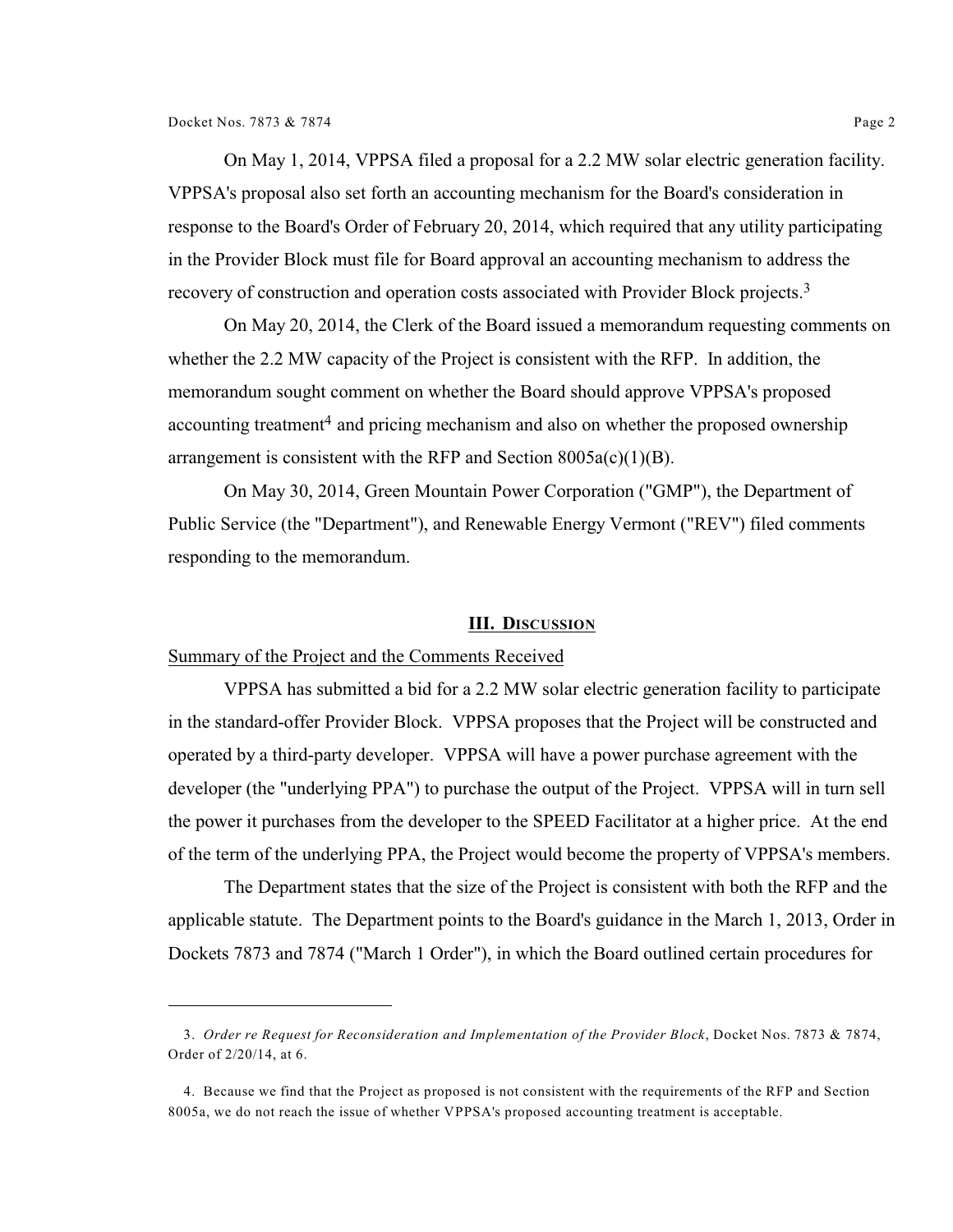On May 1, 2014, VPPSA filed a proposal for a 2.2 MW solar electric generation facility. VPPSA's proposal also set forth an accounting mechanism for the Board's consideration in response to the Board's Order of February 20, 2014, which required that any utility participating in the Provider Block must file for Board approval an accounting mechanism to address the recovery of construction and operation costs associated with Provider Block projects.<sup>3</sup>

On May 20, 2014, the Clerk of the Board issued a memorandum requesting comments on whether the 2.2 MW capacity of the Project is consistent with the RFP. In addition, the memorandum sought comment on whether the Board should approve VPPSA's proposed accounting treatment<sup>4</sup> and pricing mechanism and also on whether the proposed ownership arrangement is consistent with the RFP and Section  $8005a(c)(1)(B)$ .

On May 30, 2014, Green Mountain Power Corporation ("GMP"), the Department of Public Service (the "Department"), and Renewable Energy Vermont ("REV") filed comments responding to the memorandum.

#### **III. DISCUSSION**

#### Summary of the Project and the Comments Received

VPPSA has submitted a bid for a 2.2 MW solar electric generation facility to participate in the standard-offer Provider Block. VPPSA proposes that the Project will be constructed and operated by a third-party developer. VPPSA will have a power purchase agreement with the developer (the "underlying PPA") to purchase the output of the Project. VPPSA will in turn sell the power it purchases from the developer to the SPEED Facilitator at a higher price. At the end of the term of the underlying PPA, the Project would become the property of VPPSA's members.

The Department states that the size of the Project is consistent with both the RFP and the applicable statute. The Department points to the Board's guidance in the March 1, 2013, Order in Dockets 7873 and 7874 ("March 1 Order"), in which the Board outlined certain procedures for

<sup>3.</sup> *Order re Request for Reconsideration and Implementation of the Provider Block*, Docket Nos. 7873 & 7874, Order of 2/20/14, at 6.

<sup>4.</sup> Because we find that the Project as proposed is not consistent with the requirements of the RFP and Section 8005a, we do not reach the issue of whether VPPSA's proposed accounting treatment is acceptable.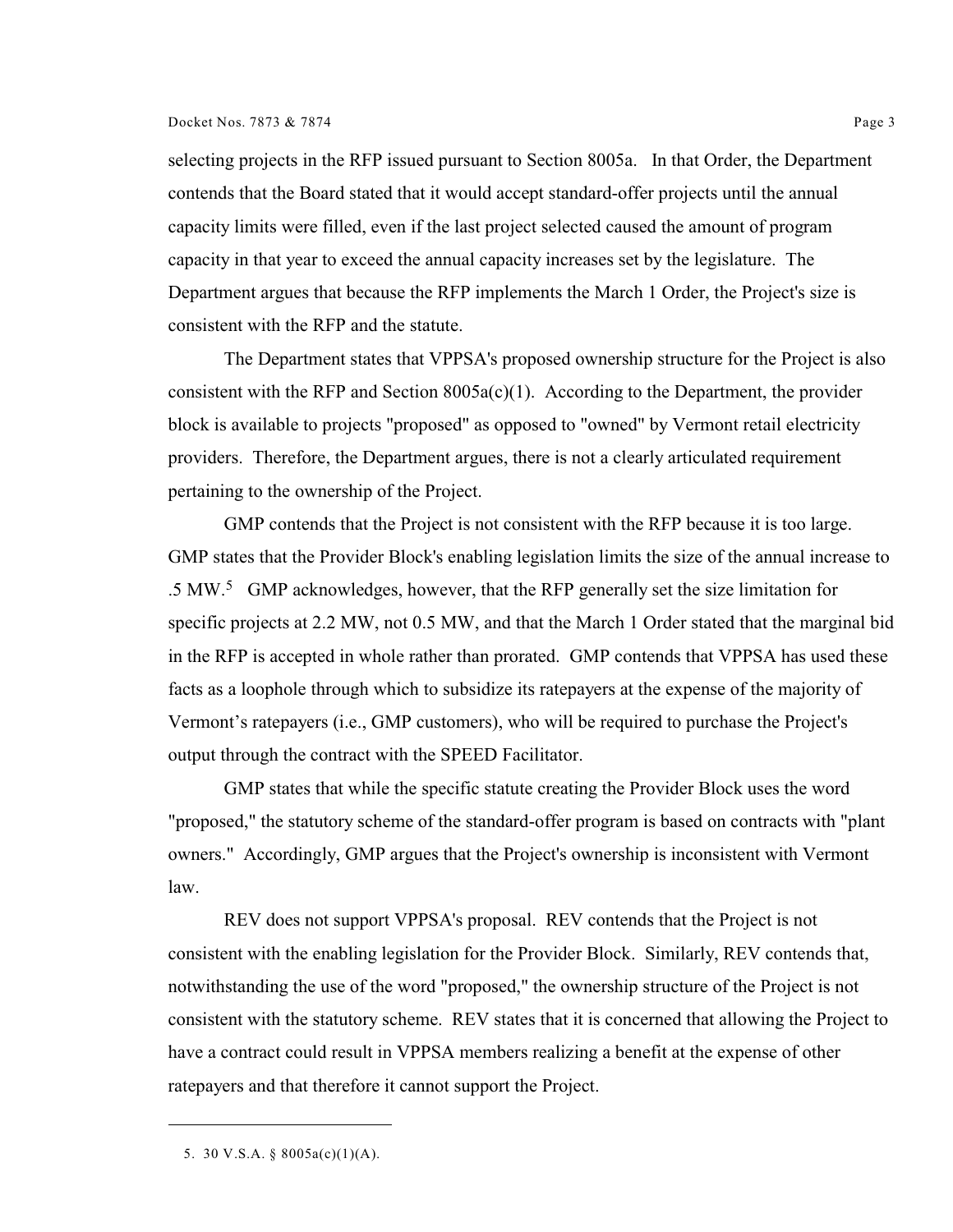#### Docket Nos. 7873 & 7874 Page 3

selecting projects in the RFP issued pursuant to Section 8005a. In that Order, the Department contends that the Board stated that it would accept standard-offer projects until the annual capacity limits were filled, even if the last project selected caused the amount of program capacity in that year to exceed the annual capacity increases set by the legislature. The Department argues that because the RFP implements the March 1 Order, the Project's size is consistent with the RFP and the statute.

The Department states that VPPSA's proposed ownership structure for the Project is also consistent with the RFP and Section  $8005a(c)(1)$ . According to the Department, the provider block is available to projects "proposed" as opposed to "owned" by Vermont retail electricity providers. Therefore, the Department argues, there is not a clearly articulated requirement pertaining to the ownership of the Project.

GMP contends that the Project is not consistent with the RFP because it is too large. GMP states that the Provider Block's enabling legislation limits the size of the annual increase to .5 MW.<sup>5</sup> GMP acknowledges, however, that the RFP generally set the size limitation for specific projects at 2.2 MW, not 0.5 MW, and that the March 1 Order stated that the marginal bid in the RFP is accepted in whole rather than prorated. GMP contends that VPPSA has used these facts as a loophole through which to subsidize its ratepayers at the expense of the majority of Vermont's ratepayers (i.e., GMP customers), who will be required to purchase the Project's output through the contract with the SPEED Facilitator.

GMP states that while the specific statute creating the Provider Block uses the word "proposed," the statutory scheme of the standard-offer program is based on contracts with "plant owners." Accordingly, GMP argues that the Project's ownership is inconsistent with Vermont law.

REV does not support VPPSA's proposal. REV contends that the Project is not consistent with the enabling legislation for the Provider Block. Similarly, REV contends that, notwithstanding the use of the word "proposed," the ownership structure of the Project is not consistent with the statutory scheme. REV states that it is concerned that allowing the Project to have a contract could result in VPPSA members realizing a benefit at the expense of other ratepayers and that therefore it cannot support the Project.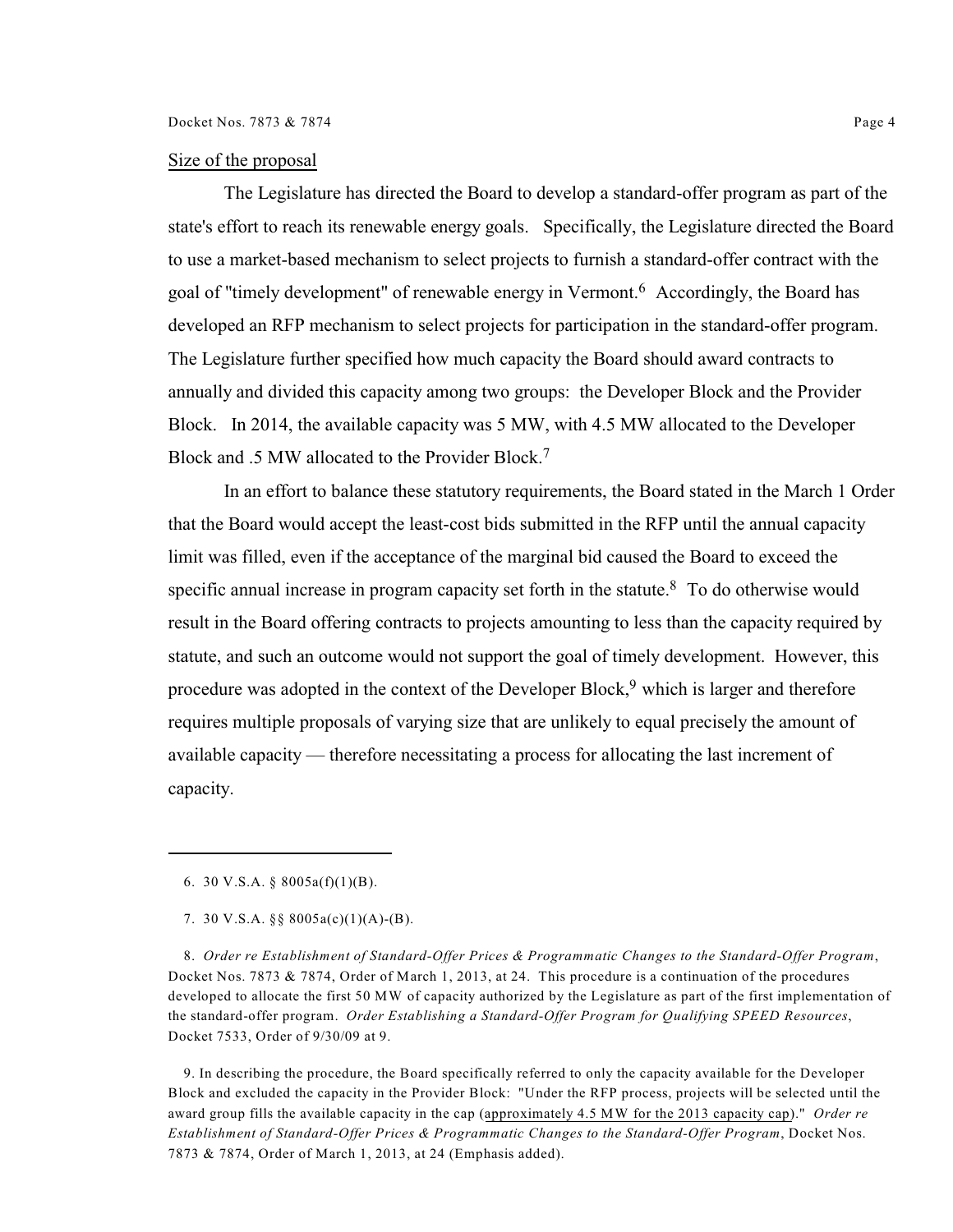### Size of the proposal

The Legislature has directed the Board to develop a standard-offer program as part of the state's effort to reach its renewable energy goals. Specifically, the Legislature directed the Board to use a market-based mechanism to select projects to furnish a standard-offer contract with the goal of "timely development" of renewable energy in Vermont.<sup>6</sup> Accordingly, the Board has developed an RFP mechanism to select projects for participation in the standard-offer program. The Legislature further specified how much capacity the Board should award contracts to annually and divided this capacity among two groups: the Developer Block and the Provider Block. In 2014, the available capacity was 5 MW, with 4.5 MW allocated to the Developer Block and .5 MW allocated to the Provider Block.<sup>7</sup>

In an effort to balance these statutory requirements, the Board stated in the March 1 Order that the Board would accept the least-cost bids submitted in the RFP until the annual capacity limit was filled, even if the acceptance of the marginal bid caused the Board to exceed the specific annual increase in program capacity set forth in the statute.<sup>8</sup> To do otherwise would result in the Board offering contracts to projects amounting to less than the capacity required by statute, and such an outcome would not support the goal of timely development. However, this procedure was adopted in the context of the Developer Block,  $9$  which is larger and therefore requires multiple proposals of varying size that are unlikely to equal precisely the amount of available capacity — therefore necessitating a process for allocating the last increment of capacity.

8. *Order re Establishment of Standard-Offer Prices & Programmatic Changes to the Standard-Offer Program*, Docket Nos. 7873 & 7874, Order of March 1, 2013, at 24. This procedure is a continuation of the procedures developed to allocate the first 50 MW of capacity authorized by the Legislature as part of the first implementation of the standard-offer program. *Order Establishing a Standard-Offer Program for Qualifying SPEED Resources*, Docket 7533, Order of 9/30/09 at 9.

9. In describing the procedure, the Board specifically referred to only the capacity available for the Developer Block and excluded the capacity in the Provider Block: "Under the RFP process, projects will be selected until the award group fills the available capacity in the cap (approximately 4.5 MW for the 2013 capacity cap)." *Order re Establishment of Standard-Offer Prices & Programmatic Changes to the Standard-Offer Program*, Docket Nos. 7873 & 7874, Order of March 1, 2013, at 24 (Emphasis added).

<sup>6.</sup> 30 V.S.A. § 8005a(f)(1)(B).

<sup>7.</sup> 30 V.S.A. §§ 8005a(c)(1)(A)-(B).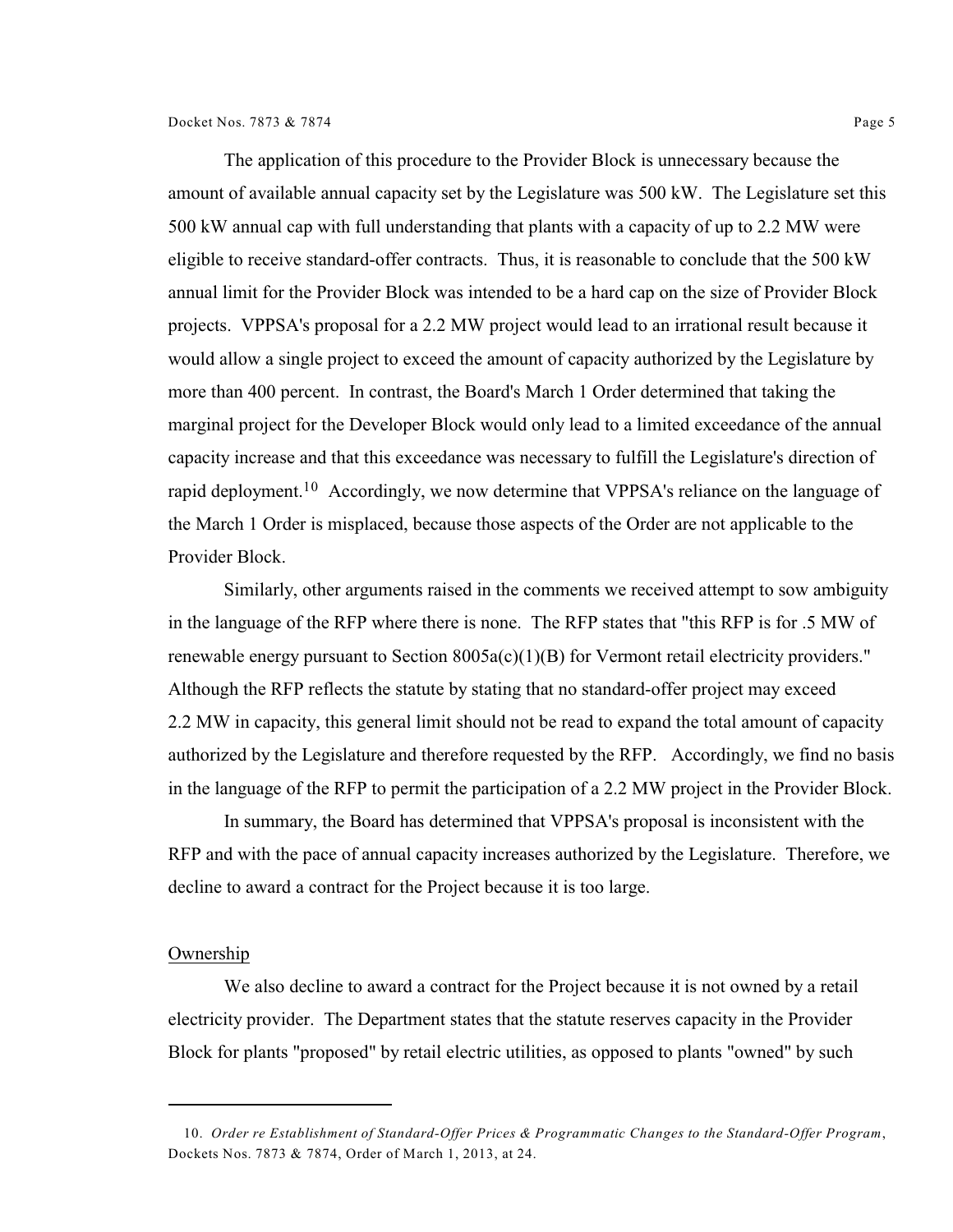The application of this procedure to the Provider Block is unnecessary because the amount of available annual capacity set by the Legislature was 500 kW. The Legislature set this 500 kW annual cap with full understanding that plants with a capacity of up to 2.2 MW were eligible to receive standard-offer contracts. Thus, it is reasonable to conclude that the 500 kW annual limit for the Provider Block was intended to be a hard cap on the size of Provider Block projects. VPPSA's proposal for a 2.2 MW project would lead to an irrational result because it would allow a single project to exceed the amount of capacity authorized by the Legislature by more than 400 percent. In contrast, the Board's March 1 Order determined that taking the marginal project for the Developer Block would only lead to a limited exceedance of the annual capacity increase and that this exceedance was necessary to fulfill the Legislature's direction of rapid deployment.<sup>10</sup> Accordingly, we now determine that VPPSA's reliance on the language of the March 1 Order is misplaced, because those aspects of the Order are not applicable to the Provider Block.

Similarly, other arguments raised in the comments we received attempt to sow ambiguity in the language of the RFP where there is none. The RFP states that "this RFP is for .5 MW of renewable energy pursuant to Section  $8005a(c)(1)(B)$  for Vermont retail electricity providers." Although the RFP reflects the statute by stating that no standard-offer project may exceed 2.2 MW in capacity, this general limit should not be read to expand the total amount of capacity authorized by the Legislature and therefore requested by the RFP. Accordingly, we find no basis in the language of the RFP to permit the participation of a 2.2 MW project in the Provider Block.

In summary, the Board has determined that VPPSA's proposal is inconsistent with the RFP and with the pace of annual capacity increases authorized by the Legislature. Therefore, we decline to award a contract for the Project because it is too large.

## Ownership

We also decline to award a contract for the Project because it is not owned by a retail electricity provider. The Department states that the statute reserves capacity in the Provider Block for plants "proposed" by retail electric utilities, as opposed to plants "owned" by such

<sup>10.</sup> *Order re Establishment of Standard-Offer Prices & Programmatic Changes to the Standard-Offer Program*, Dockets Nos. 7873 & 7874, Order of March 1, 2013, at 24.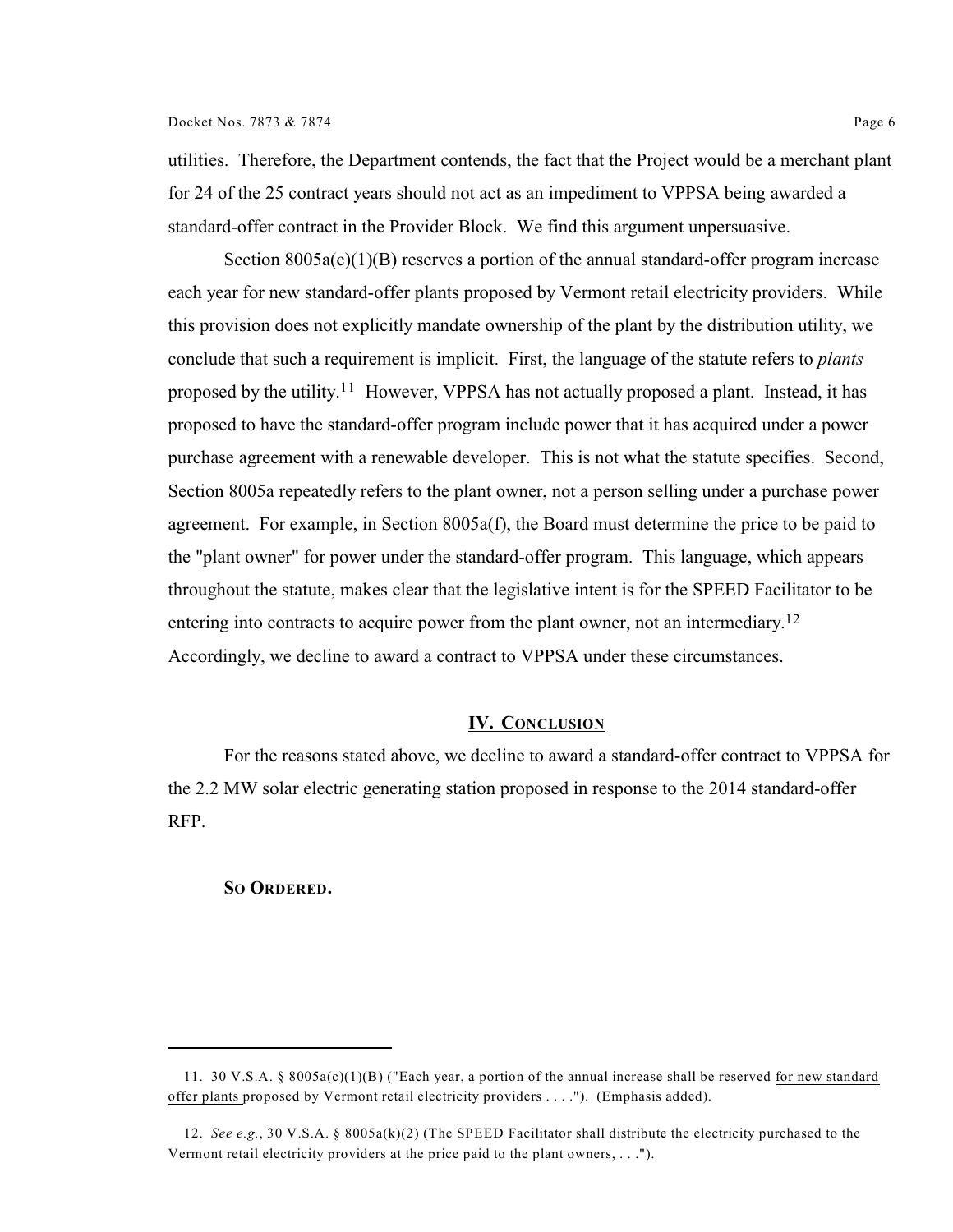utilities. Therefore, the Department contends, the fact that the Project would be a merchant plant for 24 of the 25 contract years should not act as an impediment to VPPSA being awarded a standard-offer contract in the Provider Block. We find this argument unpersuasive.

Section  $8005a(c)(1)(B)$  reserves a portion of the annual standard-offer program increase each year for new standard-offer plants proposed by Vermont retail electricity providers. While this provision does not explicitly mandate ownership of the plant by the distribution utility, we conclude that such a requirement is implicit. First, the language of the statute refers to *plants* proposed by the utility.<sup>11</sup> However, VPPSA has not actually proposed a plant. Instead, it has proposed to have the standard-offer program include power that it has acquired under a power purchase agreement with a renewable developer. This is not what the statute specifies. Second, Section 8005a repeatedly refers to the plant owner, not a person selling under a purchase power agreement. For example, in Section 8005a(f), the Board must determine the price to be paid to the "plant owner" for power under the standard-offer program. This language, which appears throughout the statute, makes clear that the legislative intent is for the SPEED Facilitator to be entering into contracts to acquire power from the plant owner, not an intermediary.<sup>12</sup> Accordingly, we decline to award a contract to VPPSA under these circumstances.

## **IV. CONCLUSION**

For the reasons stated above, we decline to award a standard-offer contract to VPPSA for the 2.2 MW solar electric generating station proposed in response to the 2014 standard-offer RFP.

## **SO ORDERED.**

<sup>11.</sup> 30 V.S.A. § 8005a(c)(1)(B) ("Each year, a portion of the annual increase shall be reserved for new standard offer plants proposed by Vermont retail electricity providers . . . ."). (Emphasis added).

<sup>12.</sup> *See e.g.*, 30 V.S.A. § 8005a(k)(2) (The SPEED Facilitator shall distribute the electricity purchased to the Vermont retail electricity providers at the price paid to the plant owners, . . .").